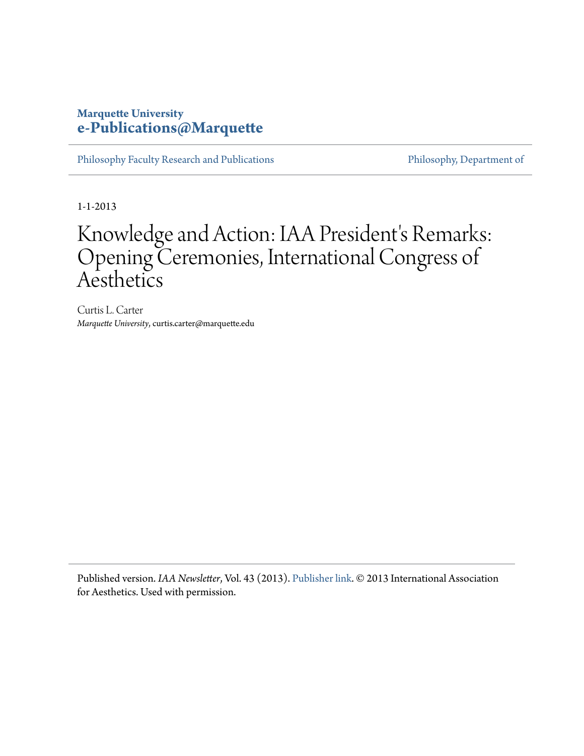### **Marquette University [e-Publications@Marquette](https://epublications.marquette.edu)**

[Philosophy Faculty Research and Publications](https://epublications.marquette.edu/phil_fac) [Philosophy, Department of](https://epublications.marquette.edu/philosophy)

1-1-2013

## Knowledge and Action: IAA President's Remarks: Opening Ceremonies, International Congress of **Aesthetics**

Curtis L. Carter *Marquette University*, curtis.carter@marquette.edu

Published version. *IAA Newsletter*, Vol. 43 (2013). [Publisher link.](https://iaaesthetics.org/) © 2013 International Association for Aesthetics. Used with permission.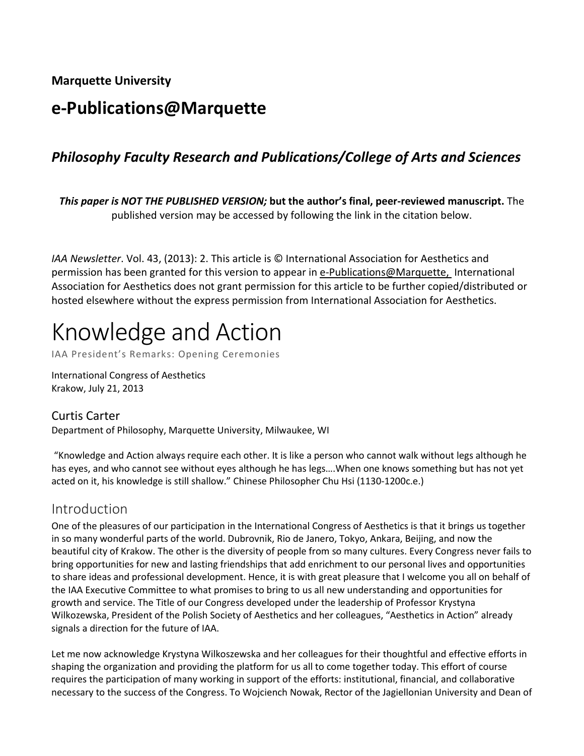**Marquette University**

### **e-Publications@Marquette**

### *Philosophy Faculty Research and Publications/College of Arts and Sciences*

*This paper is NOT THE PUBLISHED VERSION;* **but the author's final, peer-reviewed manuscript.** The published version may be accessed by following the link in the citation below.

*IAA Newsletter*. Vol. 43, (2013): 2. This article is © International Association for Aesthetics and permission has been granted for this version to appear in [e-Publications@Marquette,](http://epublications.marquette.edu/) International Association for Aesthetics does not grant permission for this article to be further copied/distributed or hosted elsewhere without the express permission from International Association for Aesthetics.

# Knowledge and Action

IAA President's Remarks: Opening Ceremonies

International Congress of Aesthetics Krakow, July 21, 2013

#### Curtis Carter

Department of Philosophy, Marquette University, Milwaukee, WI

"Knowledge and Action always require each other. It is like a person who cannot walk without legs although he has eyes, and who cannot see without eyes although he has legs….When one knows something but has not yet acted on it, his knowledge is still shallow." Chinese Philosopher Chu Hsi (1130-1200c.e.)

### Introduction

One of the pleasures of our participation in the International Congress of Aesthetics is that it brings us together in so many wonderful parts of the world. Dubrovnik, Rio de Janero, Tokyo, Ankara, Beijing, and now the beautiful city of Krakow. The other is the diversity of people from so many cultures. Every Congress never fails to bring opportunities for new and lasting friendships that add enrichment to our personal lives and opportunities to share ideas and professional development. Hence, it is with great pleasure that I welcome you all on behalf of the IAA Executive Committee to what promises to bring to us all new understanding and opportunities for growth and service. The Title of our Congress developed under the leadership of Professor Krystyna Wilkozewska, President of the Polish Society of Aesthetics and her colleagues, "Aesthetics in Action" already signals a direction for the future of IAA.

Let me now acknowledge Krystyna Wilkoszewska and her colleagues for their thoughtful and effective efforts in shaping the organization and providing the platform for us all to come together today. This effort of course requires the participation of many working in support of the efforts: institutional, financial, and collaborative necessary to the success of the Congress. To Wojciench Nowak, Rector of the Jagiellonian University and Dean of